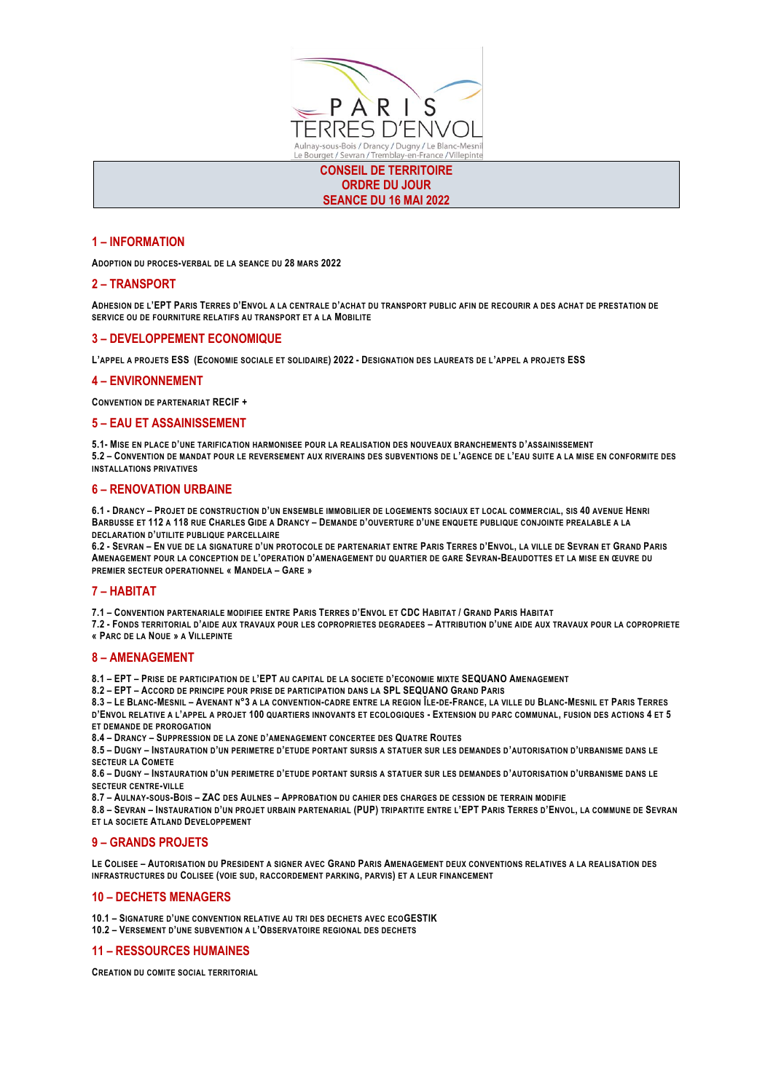

**CONSEIL DE TERRITOIRE ORDRE DU JOUR SEANCE DU 16 MAI 2022**

# **1 – INFORMATION**

**ADOPTION DU PROCES-VERBAL DE LA SEANCE DU 28 MARS 2022**

# **2 – TRANSPORT**

**ADHESION DE L'EPT PARIS TERRES D'ENVOL A LA CENTRALE D'ACHAT DU TRANSPORT PUBLIC AFIN DE RECOURIR A DES ACHAT DE PRESTATION DE SERVICE OU DE FOURNITURE RELATIFS AU TRANSPORT ET A LA MOBILITE**

### **3 – DEVELOPPEMENT ECONOMIQUE**

**L'APPEL A PROJETS ESS (ECONOMIE SOCIALE ET SOLIDAIRE) 2022 - DESIGNATION DES LAUREATS DE L'APPEL A PROJETS ESS**

### **4 – ENVIRONNEMENT**

**CONVENTION DE PARTENARIAT RECIF +**

# **5 – EAU ET ASSAINISSEMENT**

**5.1- MISE EN PLACE D'UNE TARIFICATION HARMONISEE POUR LA REALISATION DES NOUVEAUX BRANCHEMENTS D'ASSAINISSEMENT 5.2 – CONVENTION DE MANDAT POUR LE REVERSEMENT AUX RIVERAINS DES SUBVENTIONS DE L'AGENCE DE L'EAU SUITE A LA MISE EN CONFORMITE DES INSTALLATIONS PRIVATIVES**

### **6 – RENOVATION URBAINE**

6.1 - DRANCY - PROJET DE CONSTRUCTION D'UN ENSEMBLE IMMOBILIER DE LOGEMENTS SOCIAUX ET LOCAL COMMERCIAL, SIS 40 AVENUE HENRI BARBUSSE ET 112 A 118 RUE CHARLES GIDE A DRANCY - DEMANDE D'OUVERTURE D'UNE ENQUETE PUBLIQUE CONJOINTE PREALABLE A LA **DECLARATION D'UTILITE PUBLIQUE PARCELLAIRE**

6.2 - SEVRAN - EN VUE DE LA SIGNATURE D'UN PROTOCOLE DE PARTENARIAT ENTRE PARIS TERRES D'ENVOL, LA VILLE DE SEVRAN ET GRAND PARIS **AMENAGEMENT POUR LA CONCEPTION DE L'OPERATION D'AMENAGEMENT DU QUARTIER DE GARE SEVRAN-BEAUDOTTES ET LA MISE EN ŒUVRE DU PREMIER SECTEUR OPERATIONNEL « MANDELA – GARE »**

# **7 – HABITAT**

7.1 - CONVENTION PARTENARIALE MODIFIEE ENTRE PARIS TERRES D'ENVOL ET CDC HABITAT / GRAND PARIS HABITAT

**7.2 - FONDS TERRITORIAL D'AIDE AUX TRAVAUX POUR LES COPROPRIETES DEGRADEES – ATTRIBUTION D'UNE AIDE AUX TRAVAUX POUR LA COPROPRIETE « PARC DE LA NOUE » A VILLEPINTE**

#### **8 – AMENAGEMENT**

**8.1 – EPT – PRISE DE PARTICIPATION DE L'EPT AU CAPITAL DE LA SOCIETE D'ECONOMIE MIXTE SEQUANO AMENAGEMENT**

**8.2 – EPT – ACCORD DE PRINCIPE POUR PRISE DE PARTICIPATION DANS LA SPL SEQUANO GRAND PARIS**

8.3 - LE BLANC-MESNIL - AVENANT N°3 A LA CONVENTION-CADRE ENTRE LA REGION ÎLE-DE-FRANCE, LA VILLE DU BLANC-MESNIL ET PARIS TERRES D'ENVOL RELATIVE A L'APPEL A PROJET 100 QUARTIERS INNOVANTS ET ECOLOGIQUES - EXTENSION DU PARC COMMUNAL, FUSION DES ACTIONS 4 ET 5 **ET DEMANDE DE PROROGATION**

**8.4 – DRANCY – SUPPRESSION DE LA ZONE D'AMENAGEMENT CONCERTEE DES QUATRE ROUTES**

8.5 - DUGNY - INSTAURATION D'UN PERIMETRE D'ETUDE PORTANT SURSIS A STATUER SUR LES DEMANDES D'AUTORISATION D'URBANISME DANS LE **SECTEUR LA COMETE**

8.6 - DUGNY - INSTAURATION D'UN PERIMETRE D'ETUDE PORTANT SURSIS A STATUER SUR LES DEMANDES D'AUTORISATION D'URBANISME DANS LE **SECTEUR CENTRE-VILLE**

**8.7 – AULNAY-SOUS-BOIS – ZAC DES AULNES – APPROBATION DU CAHIER DES CHARGES DE CESSION DE TERRAIN MODIFIE**

8.8 - SEVRAN - INSTAURATION D'UN PROJET URBAIN PARTENARIAL (PUP) TRIPARTITE ENTRE L'EPT PARIS TERRES D'ENVOL, LA COMMUNE DE SEVRAN **ET LA SOCIETE ATLAND DEVELOPPEMENT**

# **9 – GRANDS PROJETS**

LE COLISEE - AUTORISATION DU PRESIDENT A SIGNER AVEC GRAND PARIS AMENAGEMENT DEUX CONVENTIONS RELATIVES A LA REALISATION DES **INFRASTRUCTURES DU COLISEE (VOIE SUD, RACCORDEMENT PARKING, PARVIS) ET A LEUR FINANCEMENT**

# **10 – DECHETS MENAGERS**

**10.1 – SIGNATURE D'UNE CONVENTION RELATIVE AU TRI DES DECHETS AVEC ECOGESTIK**

**10.2 – VERSEMENT D'UNE SUBVENTION A L'OBSERVATOIRE REGIONAL DES DECHETS**

### **11 – RESSOURCES HUMAINES**

**CREATION DU COMITE SOCIAL TERRITORIAL**